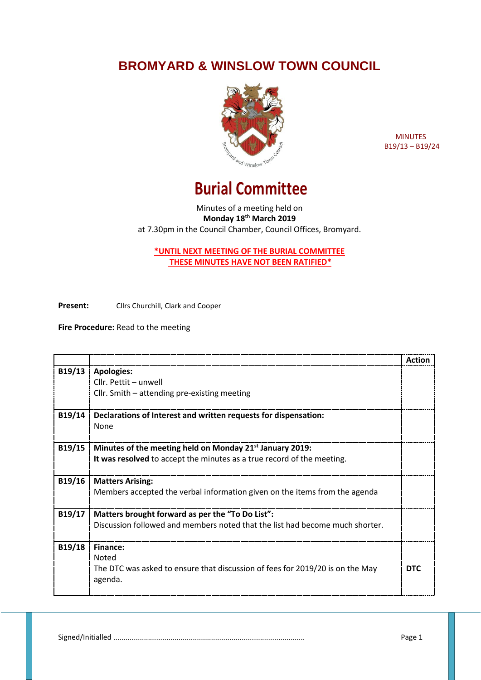## **BROMYARD & WINSLOW TOWN COUNCIL**



 MINUTES B19/13 – B19/24

## **Burial Committee**

Minutes of a meeting held on **Monday 18th March 2019** at 7.30pm in the Council Chamber, Council Offices, Bromyard.

**\*UNTIL NEXT MEETING OF THE BURIAL COMMITTEE THESE MINUTES HAVE NOT BEEN RATIFIED\***

**Present:** Cllrs Churchill, Clark and Cooper

**Fire Procedure:** Read to the meeting

|        |                                                                               | Action     |
|--------|-------------------------------------------------------------------------------|------------|
| B19/13 | <b>Apologies:</b>                                                             |            |
|        | Cllr. Pettit - unwell                                                         |            |
|        | Cllr. Smith - attending pre-existing meeting                                  |            |
| B19/14 | Declarations of Interest and written requests for dispensation:               |            |
|        | <b>None</b>                                                                   |            |
|        |                                                                               |            |
| B19/15 | Minutes of the meeting held on Monday 21 <sup>st</sup> January 2019:          |            |
|        | It was resolved to accept the minutes as a true record of the meeting.        |            |
|        |                                                                               |            |
| B19/16 | <b>Matters Arising:</b>                                                       |            |
|        | Members accepted the verbal information given on the items from the agenda    |            |
| B19/17 | Matters brought forward as per the "To Do List":                              |            |
|        | Discussion followed and members noted that the list had become much shorter.  |            |
|        |                                                                               |            |
| B19/18 | Finance:                                                                      |            |
|        | <b>Noted</b>                                                                  |            |
|        | The DTC was asked to ensure that discussion of fees for 2019/20 is on the May | <b>DTC</b> |
|        | agenda.                                                                       |            |
|        |                                                                               |            |

Signed/Initialled .............................................................................................. Page 1